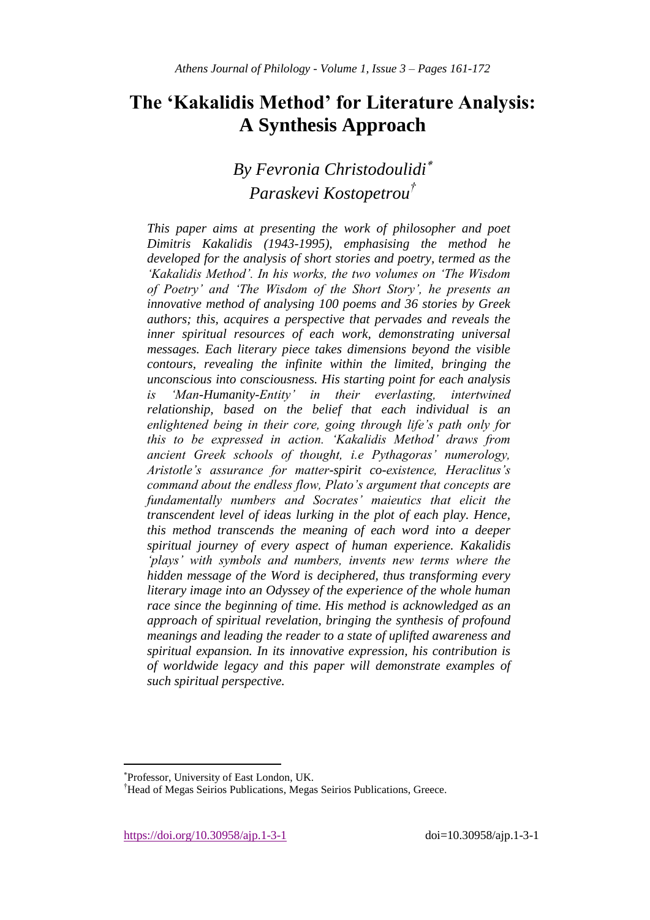# **The 'Kakalidis Method' for Literature Analysis: A Synthesis Approach**

# *By Fevronia Christodoulidi Paraskevi Kostopetrou†*

*This paper aims at presenting the work of philosopher and poet Dimitris Kakalidis (1943-1995), emphasising the method he developed for the analysis of short stories and poetry, termed as the "Kakalidis Method". In his works, the two volumes on "The Wisdom of Poetry" and "The Wisdom of the Short Story", he presents an innovative method of analysing 100 poems and 36 stories by Greek authors; this, acquires a perspective that pervades and reveals the inner spiritual resources of each work, demonstrating universal messages. Each literary piece takes dimensions beyond the visible contours, revealing the infinite within the limited, bringing the unconscious into consciousness. His starting point for each analysis is "Man-Humanity-Entity" in their everlasting, intertwined relationship, based on the belief that each individual is an enlightened being in their core, going through life"s path only for this to be expressed in action. "Kakalidis Method" draws from ancient Greek schools of thought, i.e Pythagoras" numerology, Aristotle"s assurance for matter-spirit co-existence, Heraclitus"s command about the endless flow, Plato"s argument that concepts are fundamentally numbers and Socrates" maieutics that elicit the transcendent level of ideas lurking in the plot of each play. Hence, this method transcends the meaning of each word into a deeper spiritual journey of every aspect of human experience. Kakalidis "plays" with symbols and numbers, invents new terms where the hidden message of the Word is deciphered, thus transforming every literary image into an Odyssey of the experience of the whole human race since the beginning of time. His method is acknowledged as an approach of spiritual revelation, bringing the synthesis of profound meanings and leading the reader to a state of uplifted awareness and spiritual expansion. In its innovative expression, his contribution is of worldwide legacy and this paper will demonstrate examples of such spiritual perspective.*

https://doi.org/10.30958/ajp.1-3-1 doi=10.30958/ajp.1-3-1

 $\overline{\phantom{a}}$ 

Professor, University of East London, UK.

<sup>†</sup>Head of Megas Seirios Publications, Megas Seirios Publications, Greece.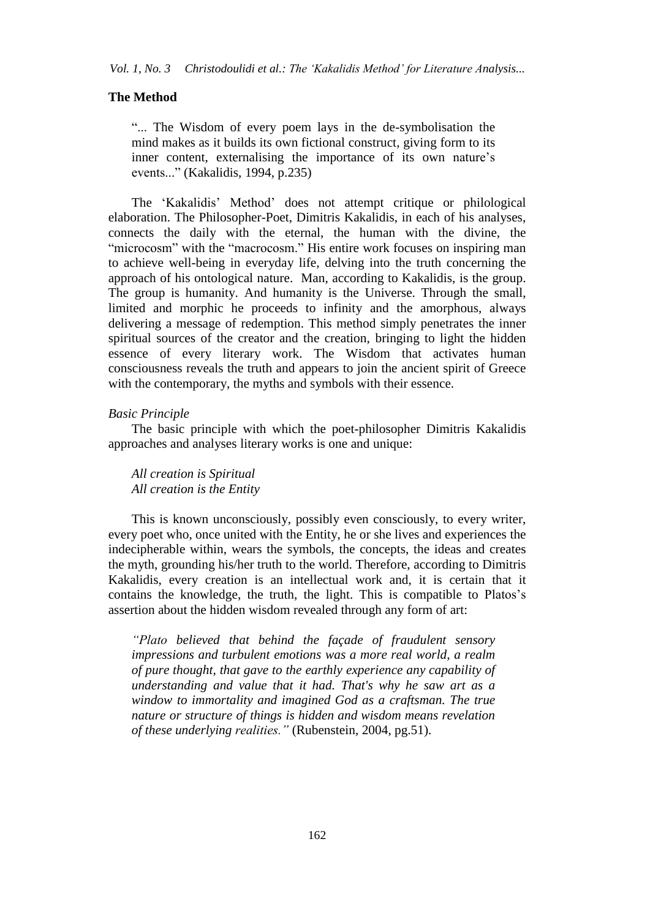## **The Method**

"... The Wisdom of every poem lays in the de-symbolisation the mind makes as it builds its own fictional construct, giving form to its inner content, externalising the importance of its own nature's events..." (Kakalidis, 1994, p.235)

The "Kakalidis" Method" does not attempt critique or philological elaboration. The Philosopher-Poet, Dimitris Kakalidis, in each of his analyses, connects the daily with the eternal, the human with the divine, the "microcosm" with the "macrocosm." His entire work focuses on inspiring man to achieve well-being in everyday life, delving into the truth concerning the approach of his ontological nature. Man, according to Kakalidis, is the group. The group is humanity. And humanity is the Universe. Through the small, limited and morphic he proceeds to infinity and the amorphous, always delivering a message of redemption. This method simply penetrates the inner spiritual sources of the creator and the creation, bringing to light the hidden essence of every literary work. The Wisdom that activates human consciousness reveals the truth and appears to join the ancient spirit of Greece with the contemporary, the myths and symbols with their essence.

### *Basic Principle*

The basic principle with which the poet-philosopher Dimitris Kakalidis approaches and analyses literary works is one and unique:

## *All creation is Spiritual All creation is the Entity*

This is known unconsciously, possibly even consciously, to every writer, every poet who, once united with the Entity, he or she lives and experiences the indecipherable within, wears the symbols, the concepts, the ideas and creates the myth, grounding his/her truth to the world. Therefore, according to Dimitris Kakalidis, every creation is an intellectual work and, it is certain that it contains the knowledge, the truth, the light. This is compatible to Platos"s assertion about the hidden wisdom revealed through any form of art:

*"Plato believed that behind the façade of fraudulent sensory impressions and turbulent emotions was a more real world, a realm of pure thought, that gave to the earthly experience any capability of understanding and value that it had. That's why he saw art as a window to immortality and imagined God as a craftsman. The true nature or structure of things is hidden and wisdom means revelation of these underlying realities."* (Rubenstein, 2004, pg.51).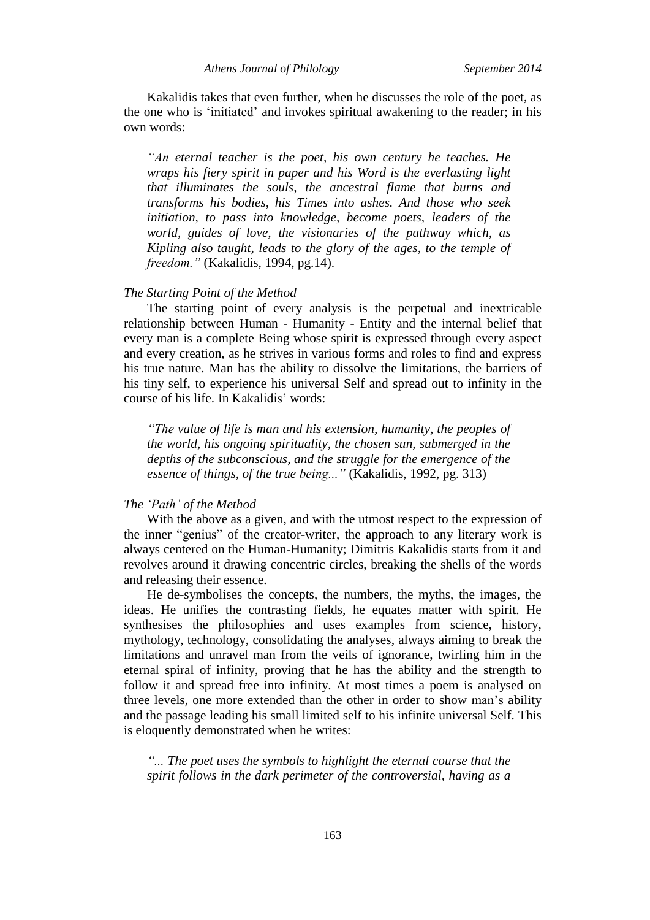*Athens Journal of Philology September 2014*

Kakalidis takes that even further, when he discusses the role of the poet, as the one who is "initiated" and invokes spiritual awakening to the reader; in his own words:

*"An eternal teacher is the poet, his own century he teaches. He wraps his fiery spirit in paper and his Word is the everlasting light that illuminates the souls, the ancestral flame that burns and transforms his bodies, his Times into ashes. And those who seek initiation, to pass into knowledge, become poets, leaders of the world, guides of love, the visionaries of the pathway which, as Kipling also taught, leads to the glory of the ages, to the temple of freedom."* (Kakalidis, 1994, pg.14).

## *The Starting Point of the Method*

The starting point of every analysis is the perpetual and inextricable relationship between Human - Humanity - Entity and the internal belief that every man is a complete Being whose spirit is expressed through every aspect and every creation, as he strives in various forms and roles to find and express his true nature. Man has the ability to dissolve the limitations, the barriers of his tiny self, to experience his universal Self and spread out to infinity in the course of his life. In Kakalidis" words:

*"The value of life is man and his extension, humanity, the peoples of the world, his ongoing spirituality, the chosen sun, submerged in the depths of the subconscious, and the struggle for the emergence of the essence of things, of the true being..."* (Kakalidis, 1992, pg. 313)

## *The "Path" of the Method*

With the above as a given, and with the utmost respect to the expression of the inner "genius" of the creator-writer, the approach to any literary work is always centered on the Human-Humanity; Dimitris Kakalidis starts from it and revolves around it drawing concentric circles, breaking the shells of the words and releasing their essence.

He de-symbolises the concepts, the numbers, the myths, the images, the ideas. He unifies the contrasting fields, he equates matter with spirit. He synthesises the philosophies and uses examples from science, history, mythology, technology, consolidating the analyses, always aiming to break the limitations and unravel man from the veils of ignorance, twirling him in the eternal spiral of infinity, proving that he has the ability and the strength to follow it and spread free into infinity. At most times a poem is analysed on three levels, one more extended than the other in order to show man"s ability and the passage leading his small limited self to his infinite universal Self. This is eloquently demonstrated when he writes:

*"... The poet uses the symbols to highlight the eternal course that the spirit follows in the dark perimeter of the controversial, having as a*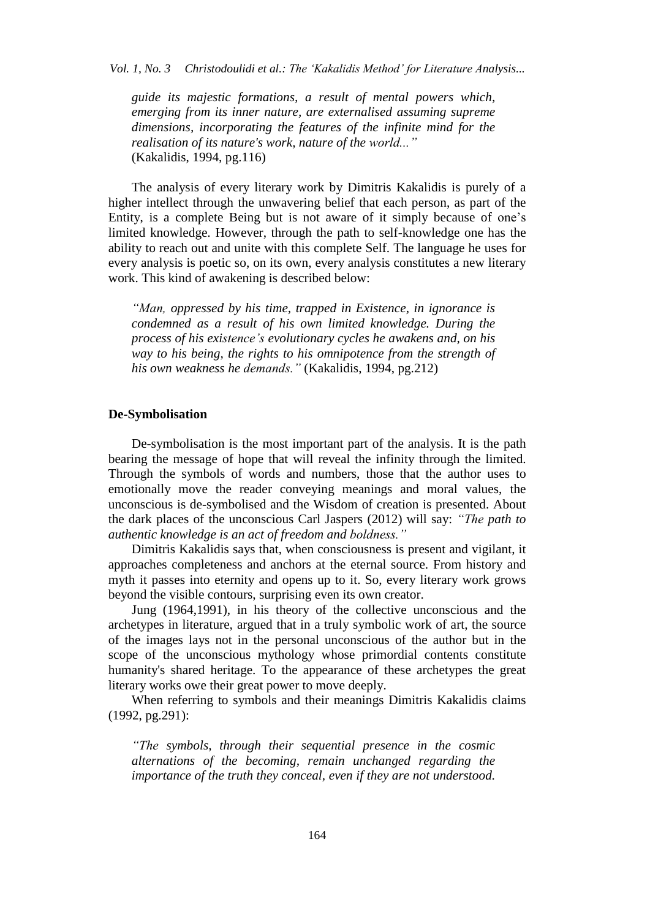*Vol. 1, No. 3 Christodoulidi et al.: The "Kakalidis Method" for Literature Analysis...*

*guide its majestic formations, a result of mental powers which, emerging from its inner nature, are externalised assuming supreme dimensions, incorporating the features of the infinite mind for the realisation of its nature's work, nature of the world..."* (Kakalidis, 1994, pg.116)

The analysis of every literary work by Dimitris Kakalidis is purely of a higher intellect through the unwavering belief that each person, as part of the Entity, is a complete Being but is not aware of it simply because of one"s limited knowledge. However, through the path to self-knowledge one has the ability to reach out and unite with this complete Self. The language he uses for every analysis is poetic so, on its own, every analysis constitutes a new literary work. This kind of awakening is described below:

*"Man, oppressed by his time, trapped in Existence, in ignorance is condemned as a result of his own limited knowledge. During the process of his existence"s evolutionary cycles he awakens and, on his way to his being, the rights to his omnipotence from the strength of his own weakness he demands."* (Kakalidis, 1994, pg.212)

## **De-Symbolisation**

De-symbolisation is the most important part of the analysis. It is the path bearing the message of hope that will reveal the infinity through the limited. Through the symbols of words and numbers, those that the author uses to emotionally move the reader conveying meanings and moral values, the unconscious is de-symbolised and the Wisdom of creation is presented. About the dark places of the unconscious Carl Jaspers (2012) will say: *"The path to authentic knowledge is an act of freedom and boldness."*

Dimitris Kakalidis says that, when consciousness is present and vigilant, it approaches completeness and anchors at the eternal source. From history and myth it passes into eternity and opens up to it. So, every literary work grows beyond the visible contours, surprising even its own creator.

Jung (1964,1991), in his theory of the collective unconscious and the archetypes in literature, argued that in a truly symbolic work of art, the source of the images lays not in the personal unconscious of the author but in the scope of the unconscious mythology whose primordial contents constitute humanity's shared heritage. To the appearance of these archetypes the great literary works owe their great power to move deeply.

When referring to symbols and their meanings Dimitris Kakalidis claims (1992, pg.291):

*"The symbols, through their sequential presence in the cosmic alternations of the becoming, remain unchanged regarding the importance of the truth they conceal, even if they are not understood.*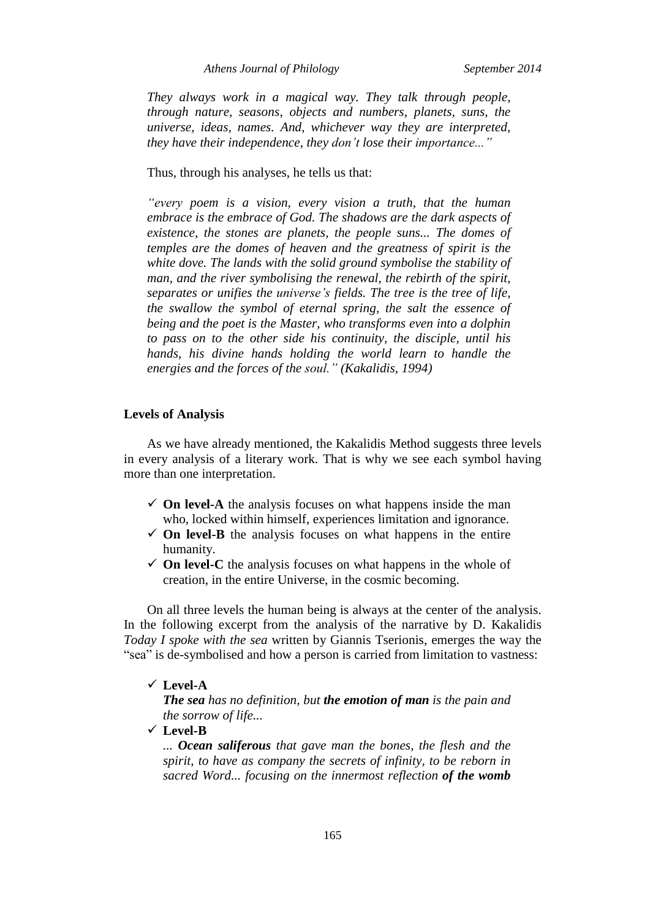*Athens Journal of Philology September 2014*

*They always work in a magical way. They talk through people, through nature, seasons, objects and numbers, planets, suns, the universe, ideas, names. And, whichever way they are interpreted, they have their independence, they don"t lose their importance..."*

Thus, through his analyses, he tells us that:

*"every poem is a vision, every vision a truth, that the human embrace is the embrace of God. The shadows are the dark aspects of existence, the stones are planets, the people suns... The domes of temples are the domes of heaven and the greatness of spirit is the white dove. The lands with the solid ground symbolise the stability of man, and the river symbolising the renewal, the rebirth of the spirit, separates or unifies the universe"s fields. The tree is the tree of life, the swallow the symbol of eternal spring, the salt the essence of being and the poet is the Master, who transforms even into a dolphin to pass on to the other side his continuity, the disciple, until his hands, his divine hands holding the world learn to handle the energies and the forces of the soul." (Kakalidis, 1994)*

## **Levels of Analysis**

As we have already mentioned, the Kakalidis Method suggests three levels in every analysis of a literary work. That is why we see each symbol having more than one interpretation.

- $\checkmark$  On level-A the analysis focuses on what happens inside the man who, locked within himself, experiences limitation and ignorance.
- $\checkmark$  On level-B the analysis focuses on what happens in the entire humanity.
- $\checkmark$  **On level-C** the analysis focuses on what happens in the whole of creation, in the entire Universe, in the cosmic becoming.

On all three levels the human being is always at the center of the analysis. In the following excerpt from the analysis of the narrative by D. Kakalidis *Today I spoke with the sea* written by Giannis Tserionis, emerges the way the "sea" is de-symbolised and how a person is carried from limitation to vastness:

### **Level-A**

*The sea has no definition, but the emotion of man is the pain and the sorrow of life...*

**Level-B**

*... Ocean saliferous that gave man the bones, the flesh and the spirit, to have as company the secrets of infinity, to be reborn in sacred Word... focusing on the innermost reflection of the womb*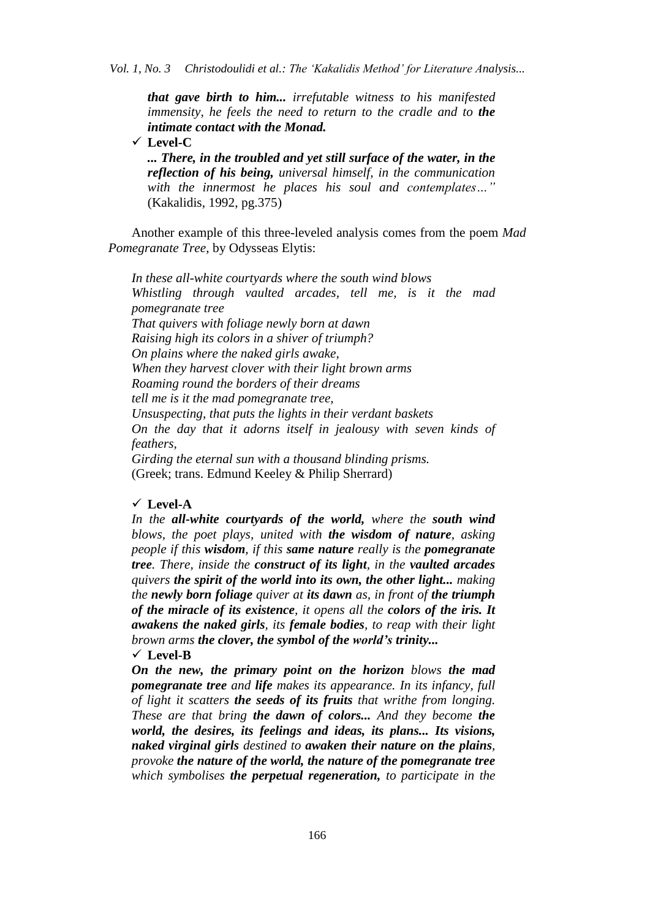*that gave birth to him... irrefutable witness to his manifested immensity, he feels the need to return to the cradle and to the intimate contact with the Monad.*

**Level-C**

*... There, in the troubled and yet still surface of the water, in the reflection of his being, universal himself, in the communication with the innermost he places his soul and contemplates…"* (Kakalidis, 1992, pg.375)

Another example of this three-leveled analysis comes from the poem *Mad Pomegranate Tree*, by Odysseas Elytis:

*In these all-white courtyards where the south wind blows Whistling through vaulted arcades, tell me, is it the mad pomegranate tree That quivers with foliage newly born at dawn Raising high its colors in a shiver of triumph? On plains where the naked girls awake, When they harvest clover with their light brown arms Roaming round the borders of their dreams tell me is it the mad pomegranate tree, Unsuspecting, that puts the lights in their verdant baskets On the day that it adorns itself in jealousy with seven kinds of feathers, Girding the eternal sun with a thousand blinding prisms.* (Greek; trans. Edmund Keeley & Philip Sherrard)

# **Level-A**

*In the all-white courtyards of the world, where the south wind blows, the poet plays, united with the wisdom of nature, asking people if this wisdom, if this same nature really is the pomegranate tree. There, inside the construct of its light, in the vaulted arcades quivers the spirit of the world into its own, the other light... making the newly born foliage quiver at its dawn as, in front of the triumph of the miracle of its existence, it opens all the colors of the iris. It awakens the naked girls, its female bodies, to reap with their light brown arms the clover, the symbol of the world's trinity...*

**Level-B**

*On the new, the primary point on the horizon blows the mad pomegranate tree and life makes its appearance. In its infancy, full of light it scatters the seeds of its fruits that writhe from longing. These are that bring the dawn of colors... And they become the world, the desires, its feelings and ideas, its plans... Its visions, naked virginal girls destined to awaken their nature on the plains, provoke the nature of the world, the nature of the pomegranate tree which symbolises the perpetual regeneration, to participate in the*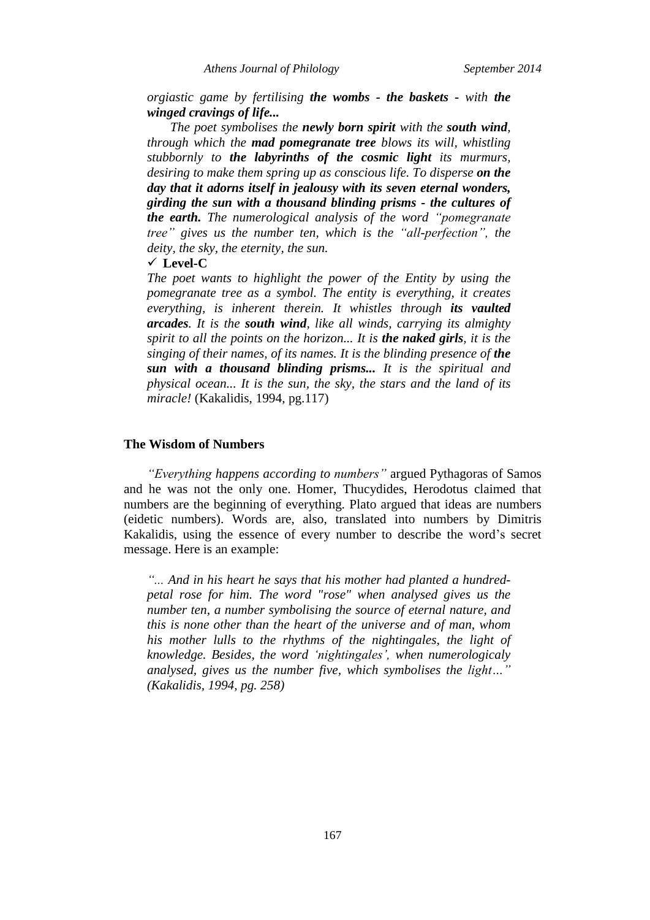*Athens Journal of Philology September 2014*

*orgiastic game by fertilising the wombs - the baskets - with the winged cravings of life...*

*The poet symbolises the newly born spirit with the south wind, through which the mad pomegranate tree blows its will, whistling stubbornly to the labyrinths of the cosmic light its murmurs, desiring to make them spring up as conscious life. To disperse on the day that it adorns itself in jealousy with its seven eternal wonders, girding the sun with a thousand blinding prisms - the cultures of the earth. The numerological analysis of the word "pomegranate tree" gives us the number ten, which is the "all-perfection", the deity, the sky, the eternity, the sun.*

**Level-C**

*The poet wants to highlight the power of the Entity by using the pomegranate tree as a symbol. The entity is everything, it creates everything, is inherent therein. It whistles through its vaulted arcades. It is the south wind, like all winds, carrying its almighty spirit to all the points on the horizon... It is the naked girls, it is the singing of their names, of its names. It is the blinding presence of the sun with a thousand blinding prisms... It is the spiritual and physical ocean... It is the sun, the sky, the stars and the land of its miracle!* (Kakalidis, 1994, pg.117)

## **The Wisdom of Numbers**

*"Everything happens according to numbers"* argued Pythagoras of Samos and he was not the only one. Homer, Thucydides, Herodotus claimed that numbers are the beginning of everything. Plato argued that ideas are numbers (eidetic numbers). Words are, also, translated into numbers by Dimitris Kakalidis, using the essence of every number to describe the word"s secret message. Here is an example:

*"... And in his heart he says that his mother had planted a hundredpetal rose for him. The word "rose" when analysed gives us the number ten, a number symbolising the source of eternal nature, and this is none other than the heart of the universe and of man, whom his mother lulls to the rhythms of the nightingales, the light of knowledge. Besides, the word "nightingales", when numerologicaly analysed, gives us the number five, which symbolises the light…" (Kakalidis, 1994, pg. 258)*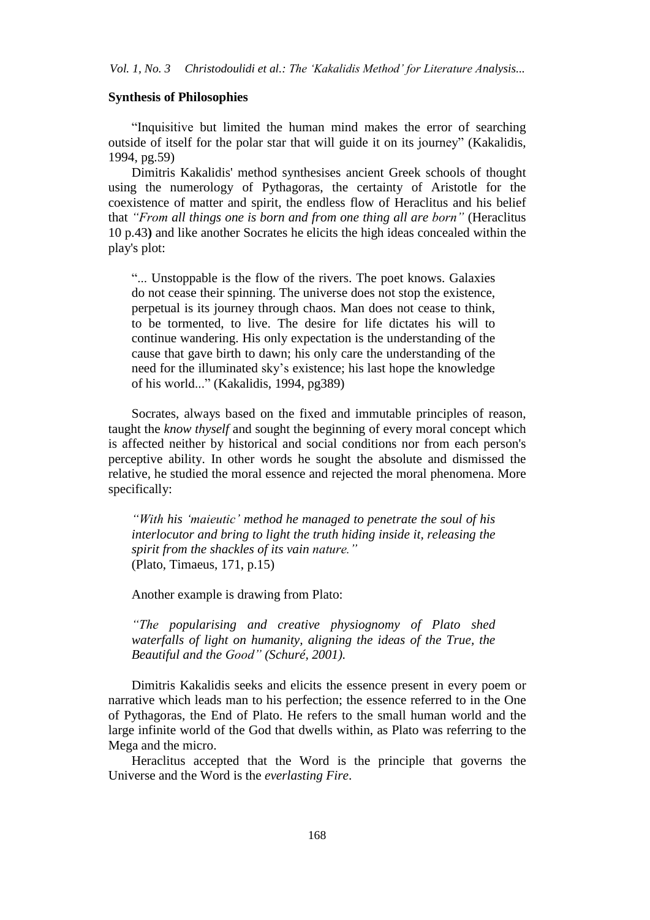## **Synthesis of Philosophies**

"Inquisitive but limited the human mind makes the error of searching outside of itself for the polar star that will guide it on its journey" (Kakalidis, 1994, pg.59)

Dimitris Kakalidis' method synthesises ancient Greek schools of thought using the numerology of Pythagoras, the certainty of Aristotle for the coexistence of matter and spirit, the endless flow of Heraclitus and his belief that *"From all things one is born and from one thing all are born"* (Heraclitus 10 p.43**)** and like another Socrates he elicits the high ideas concealed within the play's plot:

"... Unstoppable is the flow of the rivers. The poet knows. Galaxies do not cease their spinning. The universe does not stop the existence, perpetual is its journey through chaos. Man does not cease to think, to be tormented, to live. The desire for life dictates his will to continue wandering. His only expectation is the understanding of the cause that gave birth to dawn; his only care the understanding of the need for the illuminated sky"s existence; his last hope the knowledge of his world..." (Kakalidis, 1994, pg389)

Socrates, always based on the fixed and immutable principles of reason, taught the *know thyself* and sought the beginning of every moral concept which is affected neither by historical and social conditions nor from each person's perceptive ability. In other words he sought the absolute and dismissed the relative, he studied the moral essence and rejected the moral phenomena. More specifically:

*"With his "maieutic" method he managed to penetrate the soul of his interlocutor and bring to light the truth hiding inside it, releasing the spirit from the shackles of its vain nature."* (Plato, Timaeus, 171, p.15)

Another example is drawing from Plato:

*"The popularising and creative physiognomy of Plato shed waterfalls of light on humanity, aligning the ideas of the True, the Beautiful and the Good" (Schuré, 2001).* 

Dimitris Kakalidis seeks and elicits the essence present in every poem or narrative which leads man to his perfection; the essence referred to in the One of Pythagoras, the End of Plato. He refers to the small human world and the large infinite world of the God that dwells within, as Plato was referring to the Mega and the micro.

Heraclitus accepted that the Word is the principle that governs the Universe and the Word is the *everlasting Fire*.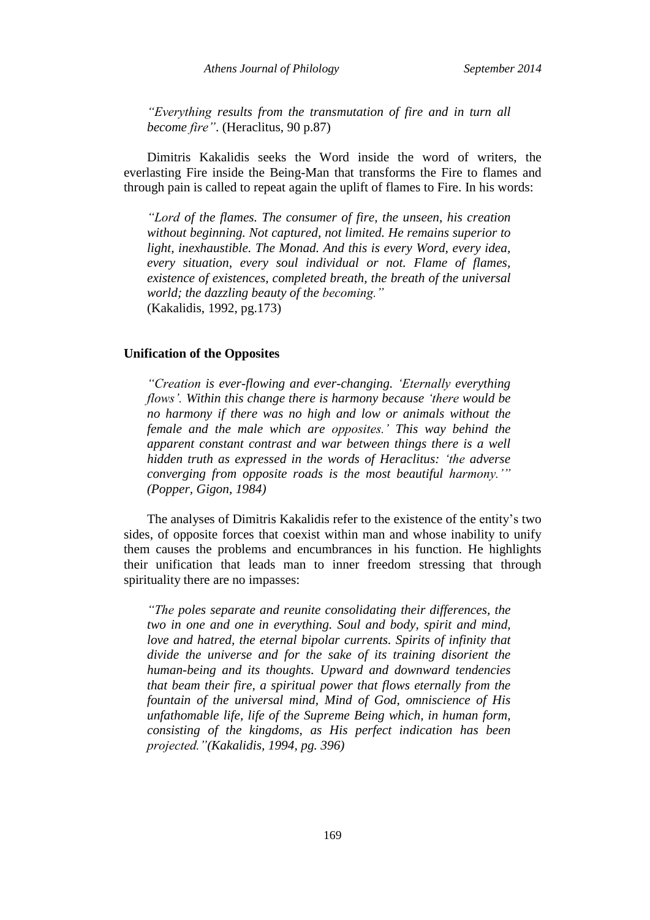*"Everything results from the transmutation of fire and in turn all become fire"*. (Heraclitus, 90 p.87)

Dimitris Kakalidis seeks the Word inside the word of writers, the everlasting Fire inside the Being-Man that transforms the Fire to flames and through pain is called to repeat again the uplift of flames to Fire. In his words:

*"Lord of the flames. The consumer of fire, the unseen, his creation without beginning. Not captured, not limited. He remains superior to light, inexhaustible. The Monad. And this is every Word, every idea, every situation, every soul individual or not. Flame of flames, existence of existences, completed breath, the breath of the universal world; the dazzling beauty of the becoming."* (Kakalidis, 1992, pg.173)

## **Unification of the Opposites**

*"Creation is ever-flowing and ever-changing. "Eternally everything flows". Within this change there is harmony because "there would be no harmony if there was no high and low or animals without the female and the male which are opposites." This way behind the apparent constant contrast and war between things there is a well hidden truth as expressed in the words of Heraclitus: "the adverse converging from opposite roads is the most beautiful harmony."" (Popper, Gigon, 1984)*

The analyses of Dimitris Kakalidis refer to the existence of the entity"s two sides, of opposite forces that coexist within man and whose inability to unify them causes the problems and encumbrances in his function. He highlights their unification that leads man to inner freedom stressing that through spirituality there are no impasses:

*"The poles separate and reunite consolidating their differences, the two in one and one in everything. Soul and body, spirit and mind, love and hatred, the eternal bipolar currents. Spirits of infinity that divide the universe and for the sake of its training disorient the human-being and its thoughts. Upward and downward tendencies that beam their fire, a spiritual power that flows eternally from the fountain of the universal mind, Mind of God, omniscience of His unfathomable life, life of the Supreme Being which, in human form, consisting of the kingdoms, as His perfect indication has been projected."(Kakalidis, 1994, pg. 396)*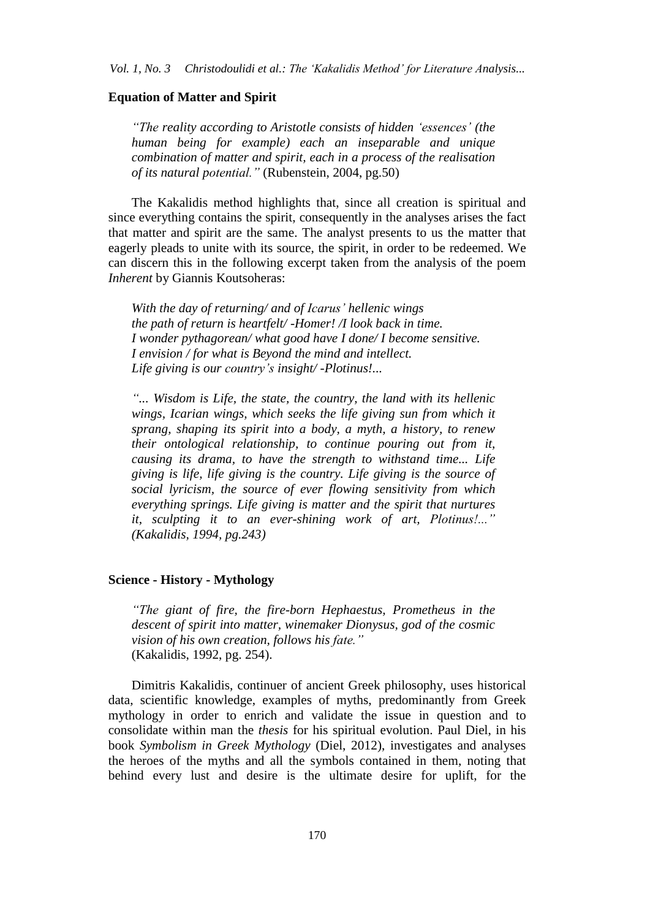## **Equation of Matter and Spirit**

*"The reality according to Aristotle consists of hidden "essences" (the human being for example) each an inseparable and unique combination of matter and spirit, each in a process of the realisation of its natural potential."* (Rubenstein, 2004, pg.50)

The Kakalidis method highlights that, since all creation is spiritual and since everything contains the spirit, consequently in the analyses arises the fact that matter and spirit are the same. The analyst presents to us the matter that eagerly pleads to unite with its source, the spirit, in order to be redeemed. We can discern this in the following excerpt taken from the analysis of the poem *Inherent* by Giannis Koutsoheras:

*With the day of returning/ and of Icarus" hellenic wings the path of return is heartfelt/ -Homer! /I look back in time. I wonder pythagorean/ what good have I done/ I become sensitive. I envision / for what is Beyond the mind and intellect. Life giving is our country"s insight/ -Plotinus!...*

*"... Wisdom is Life, the state, the country, the land with its hellenic wings, Icarian wings, which seeks the life giving sun from which it sprang, shaping its spirit into a body, a myth, a history, to renew their ontological relationship, to continue pouring out from it, causing its drama, to have the strength to withstand time... Life giving is life, life giving is the country. Life giving is the source of social lyricism, the source of ever flowing sensitivity from which everything springs. Life giving is matter and the spirit that nurtures it, sculpting it to an ever-shining work of art, Plotinus!..." (Kakalidis, 1994, pg.243)*

## **Science - History - Mythology**

*"The giant of fire, the fire-born Hephaestus, Prometheus in the descent of spirit into matter, winemaker Dionysus, god of the cosmic vision of his own creation, follows his fate."* (Kakalidis, 1992, pg. 254).

Dimitris Kakalidis, continuer of ancient Greek philosophy, uses historical data, scientific knowledge, examples of myths, predominantly from Greek mythology in order to enrich and validate the issue in question and to consolidate within man the *thesis* for his spiritual evolution. Paul Diel, in his book *Symbolism in Greek Mythology* (Diel, 2012), investigates and analyses the heroes of the myths and all the symbols contained in them, noting that behind every lust and desire is the ultimate desire for uplift, for the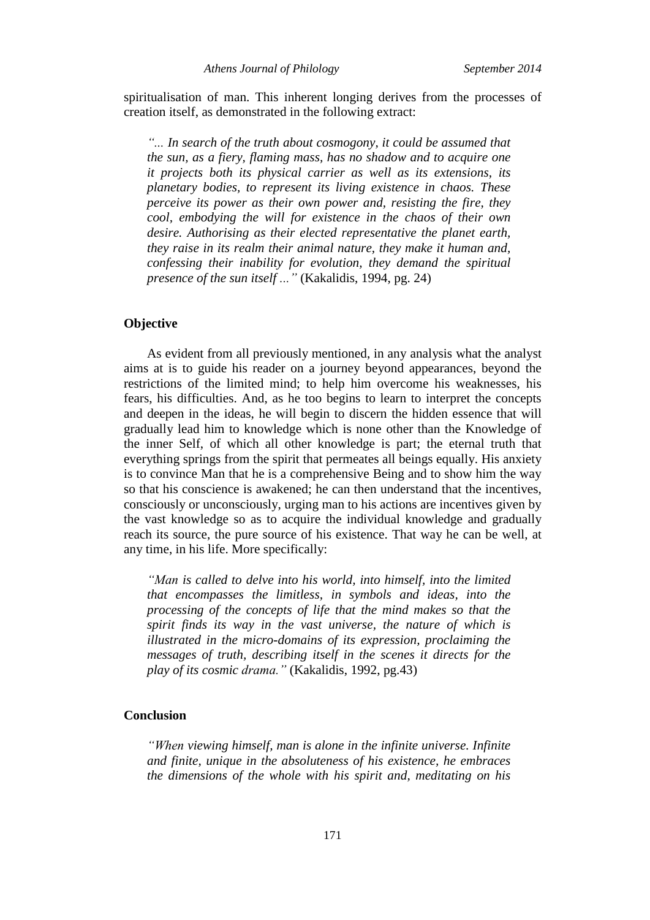spiritualisation of man. This inherent longing derives from the processes of creation itself, as demonstrated in the following extract:

*"... In search of the truth about cosmogony, it could be assumed that the sun, as a fiery, flaming mass, has no shadow and to acquire one it projects both its physical carrier as well as its extensions, its planetary bodies, to represent its living existence in chaos. These perceive its power as their own power and, resisting the fire, they cool, embodying the will for existence in the chaos of their own desire. Authorising as their elected representative the planet earth, they raise in its realm their animal nature, they make it human and, confessing their inability for evolution, they demand the spiritual presence of the sun itself ..."* (Kakalidis, 1994, pg. 24)

## **Objective**

As evident from all previously mentioned, in any analysis what the analyst aims at is to guide his reader on a journey beyond appearances, beyond the restrictions of the limited mind; to help him overcome his weaknesses, his fears, his difficulties. And, as he too begins to learn to interpret the concepts and deepen in the ideas, he will begin to discern the hidden essence that will gradually lead him to knowledge which is none other than the Knowledge of the inner Self, of which all other knowledge is part; the eternal truth that everything springs from the spirit that permeates all beings equally. His anxiety is to convince Man that he is a comprehensive Being and to show him the way so that his conscience is awakened; he can then understand that the incentives, consciously or unconsciously, urging man to his actions are incentives given by the vast knowledge so as to acquire the individual knowledge and gradually reach its source, the pure source of his existence. That way he can be well, at any time, in his life. More specifically:

*"Man is called to delve into his world, into himself, into the limited that encompasses the limitless, in symbols and ideas, into the processing of the concepts of life that the mind makes so that the spirit finds its way in the vast universe, the nature of which is illustrated in the micro-domains of its expression, proclaiming the messages of truth, describing itself in the scenes it directs for the play of its cosmic drama."* (Kakalidis, 1992, pg.43)

# **Conclusion**

*"When viewing himself, man is alone in the infinite universe. Infinite and finite, unique in the absoluteness of his existence, he embraces the dimensions of the whole with his spirit and, meditating on his*